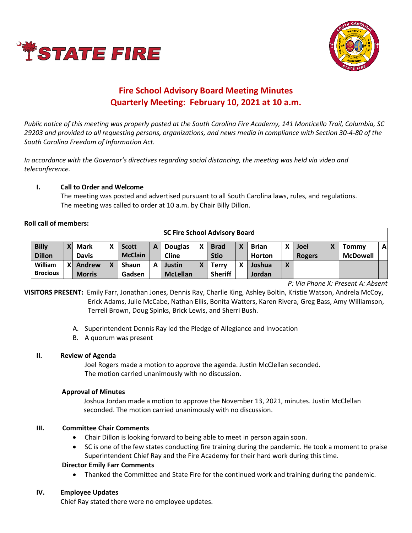



# **Fire School Advisory Board Meeting Minutes Quarterly Meeting: February 10, 2021 at 10 a.m.**

*Public notice of this meeting was properly posted at the South Carolina Fire Academy, 141 Monticello Trail, Columbia, SC 29203 and provided to all requesting persons, organizations, and news media in compliance with Section 30-4-80 of the South Carolina Freedom of Information Act.* 

*In accordance with the Governor's directives regarding social distancing, the meeting was held via video and teleconference.*

# **I. Call to Order and Welcome**

The meeting was posted and advertised pursuant to all South Carolina laws, rules, and regulations. The meeting was called to order at 10 a.m. by Chair Billy Dillon.

#### **Roll call of members:**

| <b>SC Fire School Advisory Board</b> |          |               |   |                |   |                 |   |                |   |               |                          |               |  |                 |              |
|--------------------------------------|----------|---------------|---|----------------|---|-----------------|---|----------------|---|---------------|--------------------------|---------------|--|-----------------|--------------|
| <b>Billy</b>                         | <b>Y</b> | <b>Mark</b>   | χ | <b>Scott</b>   | А | <b>Douglas</b>  | Y | <b>Brad</b>    | X | <b>Brian</b>  | v                        | <b>Joel</b>   |  | Tommv           | $\mathbf{A}$ |
| <b>Dillon</b>                        |          | <b>Davis</b>  |   | <b>McClain</b> |   | <b>Cline</b>    |   | <b>Stio</b>    |   | <b>Horton</b> |                          | <b>Rogers</b> |  | <b>McDowell</b> |              |
| William                              | X        | Andrew        | χ | <b>Shaun</b>   | A | Justin          | v | Terrv          | χ | Joshua        | $\mathbf v$<br>$\Lambda$ |               |  |                 |              |
| <b>Brocious</b>                      |          | <b>Morris</b> |   | Gadsen         |   | <b>McLellan</b> |   | <b>Sheriff</b> |   | Jordan        |                          |               |  |                 |              |

*P: Via Phone X: Present A: Absent*

**VISITORS PRESENT:** Emily Farr, Jonathan Jones, Dennis Ray, Charlie King, Ashley Boltin, Kristie Watson, Andrela McCoy, Erick Adams, Julie McCabe, Nathan Ellis, Bonita Watters, Karen Rivera, Greg Bass, Amy Williamson, Terrell Brown, Doug Spinks, Brick Lewis, and Sherri Bush.

- A. Superintendent Dennis Ray led the Pledge of Allegiance and Invocation
- B. A quorum was present

# **II. Review of Agenda**

Joel Rogers made a motion to approve the agenda. Justin McClellan seconded. The motion carried unanimously with no discussion.

# **Approval of Minutes**

Joshua Jordan made a motion to approve the November 13, 2021, minutes. Justin McClellan seconded. The motion carried unanimously with no discussion.

# **III. Committee Chair Comments**

- Chair Dillon is looking forward to being able to meet in person again soon.
- SC is one of the few states conducting fire training during the pandemic. He took a moment to praise Superintendent Chief Ray and the Fire Academy for their hard work during this time.

# **Director Emily Farr Comments**

• Thanked the Committee and State Fire for the continued work and training during the pandemic.

# **IV. Employee Updates**

Chief Ray stated there were no employee updates.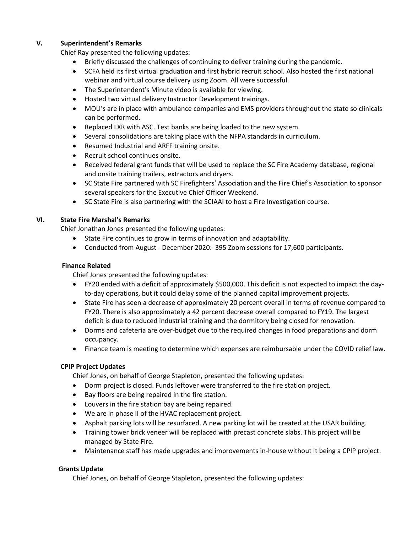# **V. Superintendent's Remarks**

Chief Ray presented the following updates:

- Briefly discussed the challenges of continuing to deliver training during the pandemic.
- SCFA held its first virtual graduation and first hybrid recruit school. Also hosted the first national webinar and virtual course delivery using Zoom. All were successful.
- The Superintendent's Minute video is available for viewing.
- Hosted two virtual delivery Instructor Development trainings.
- MOU's are in place with ambulance companies and EMS providers throughout the state so clinicals can be performed.
- Replaced LXR with ASC. Test banks are being loaded to the new system.
- Several consolidations are taking place with the NFPA standards in curriculum.
- Resumed Industrial and ARFF training onsite.
- Recruit school continues onsite.
- Received federal grant funds that will be used to replace the SC Fire Academy database, regional and onsite training trailers, extractors and dryers.
- SC State Fire partnered with SC Firefighters' Association and the Fire Chief's Association to sponsor several speakers for the Executive Chief Officer Weekend.
- SC State Fire is also partnering with the SCIAAI to host a Fire Investigation course.

# **VI. State Fire Marshal's Remarks**

Chief Jonathan Jones presented the following updates:

- State Fire continues to grow in terms of innovation and adaptability.
- Conducted from August December 2020: 395 Zoom sessions for 17,600 participants.

#### **Finance Related**

Chief Jones presented the following updates:

- FY20 ended with a deficit of approximately \$500,000. This deficit is not expected to impact the dayto-day operations, but it could delay some of the planned capital improvement projects.
- State Fire has seen a decrease of approximately 20 percent overall in terms of revenue compared to FY20. There is also approximately a 42 percent decrease overall compared to FY19. The largest deficit is due to reduced industrial training and the dormitory being closed for renovation.
- Dorms and cafeteria are over-budget due to the required changes in food preparations and dorm occupancy.
- Finance team is meeting to determine which expenses are reimbursable under the COVID relief law.

# **CPIP Project Updates**

Chief Jones, on behalf of George Stapleton, presented the following updates:

- Dorm project is closed. Funds leftover were transferred to the fire station project.
- Bay floors are being repaired in the fire station.
- Louvers in the fire station bay are being repaired.
- We are in phase II of the HVAC replacement project.
- Asphalt parking lots will be resurfaced. A new parking lot will be created at the USAR building.
- Training tower brick veneer will be replaced with precast concrete slabs. This project will be managed by State Fire.
- Maintenance staff has made upgrades and improvements in-house without it being a CPIP project.

# **Grants Update**

Chief Jones, on behalf of George Stapleton, presented the following updates: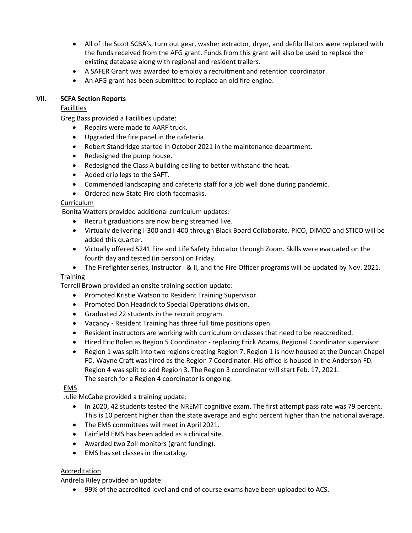- All of the Scott SCBA's, turn out gear, washer extractor, dryer, and defibrillators were replaced with the funds received from the AFG grant. Funds from this grant will also be used to replace the existing database along with regional and resident trailers.
- A SAFER Grant was awarded to employ a recruitment and retention coordinator.
- An AFG grant has been submitted to replace an old fire engine.

# **VII. SCFA Section Reports**

Facilities

Greg Bass provided a Facilities update:

- Repairs were made to AARF truck.
- Upgraded the fire panel in the cafeteria
- Robert Standridge started in October 2021 in the maintenance department.
- Redesigned the pump house.
- Redesigned the Class A building ceiling to better withstand the heat.
- Added drip legs to the SAFT.
- Commended landscaping and cafeteria staff for a job well done during pandemic.
- Ordered new State Fire cloth facemasks.

# Curriculum

Bonita Watters provided additional curriculum updates:

- Recruit graduations are now being streamed live.
- Virtually delivering I-300 and I-400 through Black Board Collaborate. PICO, DIMCO and STICO will be added this quarter.
- Virtually offered 5241 Fire and Life Safety Educator through Zoom. Skills were evaluated on the fourth day and tested (in person) on Friday.
- The Firefighter series, Instructor I & II, and the Fire Officer programs will be updated by Nov. 2021.

# **Training**

Terrell Brown provided an onsite training section update:

- Promoted Kristie Watson to Resident Training Supervisor.
- Promoted Don Headrick to Special Operations division.
- Graduated 22 students in the recruit program.
- Vacancy Resident Training has three full time positions open.
- Resident instructors are working with curriculum on classes that need to be reaccredited.
- Hired Eric Bolen as Region 5 Coordinator replacing Erick Adams, Regional Coordinator supervisor
- Region 1 was split into two regions creating Region 7. Region 1 is now housed at the Duncan Chapel FD. Wayne Craft was hired as the Region 7 Coordinator. His office is housed in the Anderson FD. Region 4 was split to add Region 3. The Region 3 coordinator will start Feb. 17, 2021. The search for a Region 4 coordinator is ongoing.

# EMS

Julie McCabe provided a training update:

- In 2020, 42 students tested the NREMT cognitive exam. The first attempt pass rate was 79 percent. This is 10 percent higher than the state average and eight percent higher than the national average.
- The EMS committees will meet in April 2021.
- Fairfield EMS has been added as a clinical site.
- Awarded two Zoll monitors (grant funding).
- EMS has set classes in the catalog.

# Accreditation

Andrela Riley provided an update:

• 99% of the accredited level and end of course exams have been uploaded to ACS.